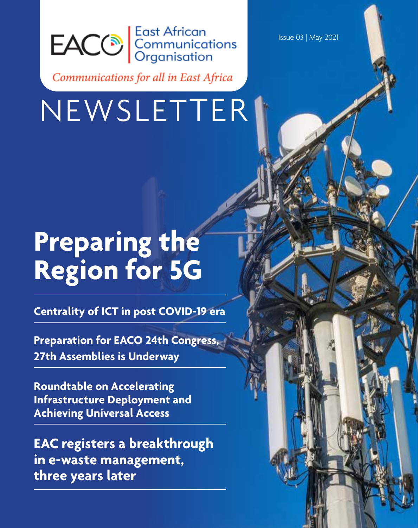

Communications for all in East Africa

# NEWSLETTER

# **Preparing the Region for 5G**

**Centrality of ICT in post COVID-19 era**

**Preparation for EACO 24th Congress, 27th Assemblies is Underway**

**Roundtable on Accelerating Infrastructure Deployment and Achieving Universal Access**

**EAC registers a breakthrough in e-waste management, three years later**

Issue 03 | May 2021

Issue 03 | May 2021 | **1**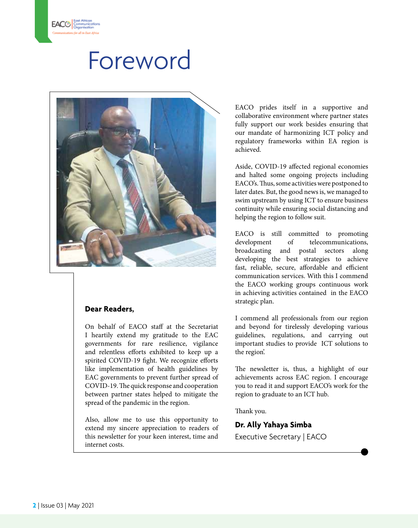## Foreword



### **Dear Readers,**

On behalf of EACO staff at the Secretariat I heartily extend my gratitude to the EAC governments for rare resilience, vigilance and relentless efforts exhibited to keep up a spirited COVID-19 fight. We recognize efforts like implementation of health guidelines by EAC governments to prevent further spread of COVID-19. The quick response and cooperation between partner states helped to mitigate the spread of the pandemic in the region.

Also, allow me to use this opportunity to extend my sincere appreciation to readers of this newsletter for your keen interest, time and internet costs.

EACO prides itself in a supportive and collaborative environment where partner states fully support our work besides ensuring that our mandate of harmonizing ICT policy and regulatory frameworks within EA region is achieved.

Aside, COVID-19 affected regional economies and halted some ongoing projects including EACO's. Thus, some activities were postponed to later dates. But, the good news is, we managed to swim upstream by using ICT to ensure business continuity while ensuring social distancing and helping the region to follow suit.

EACO is still committed to promoting<br>development of telecommunications. of telecommunications, broadcasting and postal sectors along developing the best strategies to achieve fast, reliable, secure, affordable and efficient communication services. With this I commend the EACO working groups continuous work in achieving activities contained in the EACO strategic plan.

I commend all professionals from our region and beyond for tirelessly developing various guidelines, regulations, and carrying out important studies to provide ICT solutions to the region'.

The newsletter is, thus, a highlight of our achievements across EAC region. I encourage you to read it and support EACO's work for the region to graduate to an ICT hub.

Thank you.

### **Dr. Ally Yahaya Simba**

Executive Secretary | EACO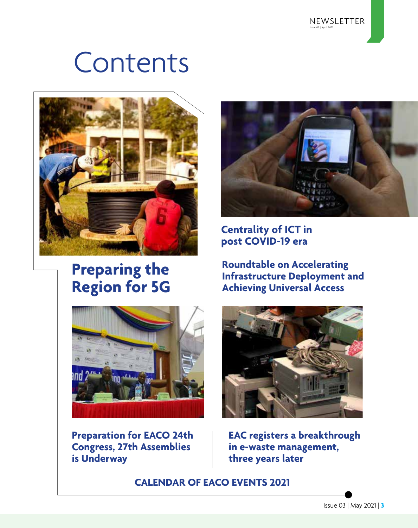# **Contents**



### **Preparing the Region for 5G**



**Preparation for EACO 24th Congress, 27th Assemblies is Underway**



**Centrality of ICT in post COVID-19 era**

**Roundtable on Accelerating Infrastructure Deployment and Achieving Universal Access**



**EAC registers a breakthrough in e-waste management, three years later**

**CALENDAR OF EACO EVENTS 2021**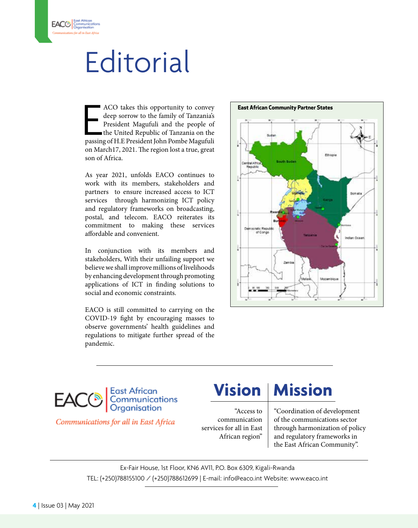# **Editorial**

ACO takes this opportunity to convey<br>deep sorrow to the family of Tanzania's<br>President Magufuli and the people of<br>the United Republic of Tanzania on the<br>passing of H.E President John Pombe Magufuli ACO takes this opportunity to convey deep sorrow to the family of Tanzania's President Magufuli and the people of the United Republic of Tanzania on the passing of H.E President John Pombe Magufuli on March17, 2021. The region lost a true, great son of Africa.

As year 2021, unfolds EACO continues to work with its members, stakeholders and partners to ensure increased access to ICT services through harmonizing ICT policy and regulatory frameworks on broadcasting, postal, and telecom. EACO reiterates its commitment to making these services affordable and convenient.

In conjunction with its members and stakeholders, With their unfailing support we believe we shall improve millions of livelihoods by enhancing development through promoting applications of ICT in finding solutions to social and economic constraints.

EACO is still committed to carrying on the COVID-19 fight by encouraging masses to observe governments' health guidelines and regulations to mitigate further spread of the pandemic.





Communications for all in East Africa

### **Vision | Mission**

"Access to communication services for all in East African region"

"Coordination of development of the communications sector through harmonization of policy and regulatory frameworks in the East African Community".

Ex-Fair House, 1st Floor, KN6 AV11, P.O. Box 6309, Kigali-Rwanda TEL: (+250)788155100 / (+250)788612699 | E-mail: info@eaco.int Website: www.eaco.int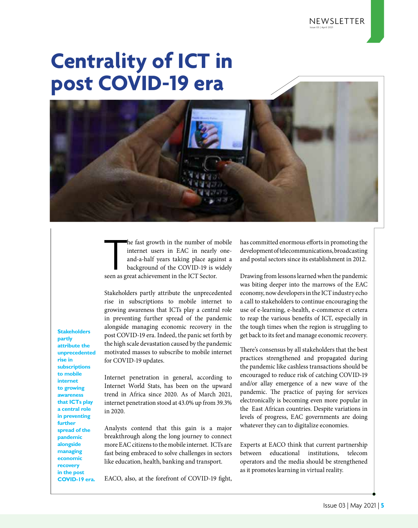## **Centrality of ICT in post COVID-19 era**



he fast growth in the number of n<br>internet users in EAC in nearly<br>and-a-half years taking place aga<br>background of the COVID-19 is v<br>seen as great achievement in the ICT Sector. he fast growth in the number of mobile internet users in EAC in nearly oneand-a-half years taking place against a background of the COVID-19 is widely

Stakeholders partly attribute the unprecedented rise in subscriptions to mobile internet to growing awareness that ICTs play a central role in preventing further spread of the pandemic alongside managing economic recovery in the post COVID-19 era. Indeed, the panic set forth by the high scale devastation caused by the pandemic motivated masses to subscribe to mobile internet for COVID-19 updates.

Internet penetration in general, according to Internet World Stats, has been on the upward trend in Africa since 2020. As of March 2021, internet penetration stood at 43.0% up from 39.3% in 2020.

Analysts contend that this gain is a major breakthrough along the long journey to connect more EAC citizens to the mobile internet. ICTs are fast being embraced to solve challenges in sectors like education, health, banking and transport.

EACO, also, at the forefront of COVID-19 fight,

has committed enormous efforts in promoting the development of telecommunications, broadcasting and postal sectors since its establishment in 2012.

Drawing from lessons learned when the pandemic was biting deeper into the marrows of the EAC economy, now developers in the ICT industry echo a call to stakeholders to continue encouraging the use of e-learning, e-health, e-commerce et cetera to reap the various benefits of ICT, especially in the tough times when the region is struggling to get back to its feet and manage economic recovery.

There's consensus by all stakeholders that the best practices strengthened and propagated during the pandemic like cashless transactions should be encouraged to reduce risk of catching COVID-19 and/or allay emergence of a new wave of the pandemic. The practice of paying for services electronically is becoming even more popular in the East African countries. Despite variations in levels of progress, EAC governments are doing whatever they can to digitalize economies.

Experts at EACO think that current partnership between educational institutions, telecom operators and the media should be strengthened as it promotes learning in virtual reality.

**Stakeholders partly attribute the unprecedented rise in subscriptions to mobile internet to growing awareness that ICTs play a central role in preventing further spread of the pandemic alongside managing economic recovery in the post COVID-19 era.**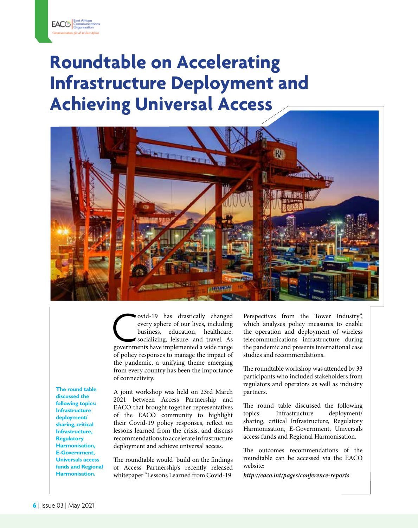## **Roundtable on Accelerating Infrastructure Deployment and Achieving Universal Access**



ovid-19 has drastically changed<br>
every sphere of our lives, including<br>
business, education, healthcare,<br>
socializing, leisure, and travel. As<br>
governments have implemented a wide range every sphere of our lives, including business, education, healthcare, socializing, leisure, and travel. As of policy responses to manage the impact of the pandemic, a unifying theme emerging from every country has been the importance of connectivity.

**The round table discussed the following topics: Infrastructure deployment/ sharing, critical Infrastructure, Regulatory Harmonisation, E-Government, Universals access funds and Regional Harmonisation.** 

A joint workshop was held on 23rd March 2021 between Access Partnership and EACO that brought together representatives of the EACO community to highlight their Covid-19 policy responses, reflect on lessons learned from the crisis, and discuss recommendations to accelerate infrastructure deployment and achieve universal access.

The roundtable would build on the findings of Access Partnership's recently released whitepaper "Lessons Learned from Covid-19:

Perspectives from the Tower Industry", which analyses policy measures to enable the operation and deployment of wireless telecommunications infrastructure during the pandemic and presents international case studies and recommendations.

The roundtable workshop was attended by 33 participants who included stakeholders from regulators and operators as well as industry partners.

The round table discussed the following topics: Infrastructure deployment/ sharing, critical Infrastructure, Regulatory Harmonisation, E-Government, Universals access funds and Regional Harmonisation.

The outcomes recommendations of the roundtable can be accessed via the EACO website:

*http://eaco.int/pages/conference-reports*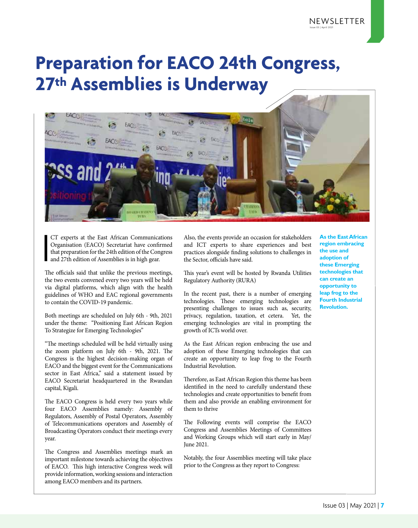### **Preparation for EACO 24th Congress, 27th Assemblies is Underway**



I CT experts at the East African Communications Organisation (EACO) Secretariat have confirmed that preparation for the 24th edition of the Congress and 27th edition of Assemblies is in high gear.

The officials said that unlike the previous meetings, the two events convened every two years will be held via digital platforms, which align with the health guidelines of WHO and EAC regional governments to contain the COVID-19 pandemic.

Both meetings are scheduled on July 6th - 9th, 2021 under the theme: "Positioning East African Region To Strategize for Emerging Technologies"

"The meetings scheduled will be held virtually using the zoom platform on July 6th - 9th, 2021. The Congress is the highest decision-making organ of EACO and the biggest event for the Communications sector in East Africa," said a statement issued by EACO Secretariat headquartered in the Rwandan capital, Kigali.

The EACO Congress is held every two years while four EACO Assemblies namely: Assembly of Regulators, Assembly of Postal Operators, Assembly of Telecommunications operators and Assembly of Broadcasting Operators conduct their meetings every year.

The Congress and Assemblies meetings mark an important milestone towards achieving the objectives of EACO. This high interactive Congress week will provide information, working sessions and interaction among EACO members and its partners.

Also, the events provide an occasion for stakeholders and ICT experts to share experiences and best practices alongside finding solutions to challenges in the Sector, officials have said.

This year's event will be hosted by Rwanda Utilities Regulatory Authority (RURA)

In the recent past, there is a number of emerging technologies. These emerging technologies are presenting challenges to issues such as, security, privacy, regulation, taxation, et cetera. Yet, the emerging technologies are vital in prompting the growth of ICTs world over.

As the East African region embracing the use and adoption of these Emerging technologies that can create an opportunity to leap frog to the Fourth Industrial Revolution.

Therefore, as East African Region this theme has been identified in the need to carefully understand these technologies and create opportunities to benefit from them and also provide an enabling environment for them to thrive

The Following events will comprise the EACO Congress and Assemblies Meetings of Committees and Working Groups which will start early in May/ June 2021.

Notably, the four Assemblies meeting will take place prior to the Congress as they report to Congress:

**As the EastAfrican region embracing the use and adoption of these Emerging technologies that can create an opportunity to leap frog to the Fourth Industrial Revolution.**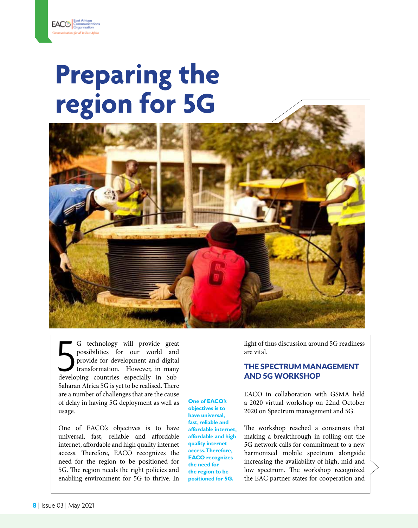## **Preparing the region for 5G**



G technology will provide great<br>possibilities for our world and<br>provide for development and digital<br>transformation. However, in many<br>developing countries especially in Sub-G technology will provide great possibilities for our world and provide for development and digital transformation. However, in many Saharan Africa 5G is yet to be realised. There are a number of challenges that are the cause of delay in having 5G deployment as well as usage.

One of EACO's objectives is to have universal, fast, reliable and affordable internet, affordable and high quality internet access. Therefore, EACO recognizes the need for the region to be positioned for 5G. The region needs the right policies and enabling environment for 5G to thrive. In

**One of EACO's objectives is to have universal, fast, reliable and affordable internet, affordable and high quality internet access. Therefore, EACO recognizes the need for the region to be positioned for 5G.**

light of thus discussion around 5G readiness are vital.

### THE SPECTRUM MANAGEMENT AND 5G WORKSHOP

EACO in collaboration with GSMA held a 2020 virtual workshop on 22nd October 2020 on Spectrum management and 5G.

The workshop reached a consensus that making a breakthrough in rolling out the 5G network calls for commitment to a new harmonized mobile spectrum alongside increasing the availability of high, mid and low spectrum. The workshop recognized the EAC partner states for cooperation and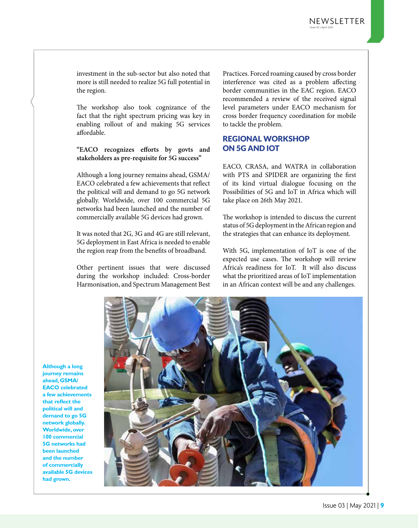investment in the sub-sector but also noted that more is still needed to realize 5G full potential in the region.

The workshop also took cognizance of the fact that the right spectrum pricing was key in enabling rollout of and making 5G services affordable.

#### **"EACO recognizes efforts by govts and stakeholders as pre-requisite for 5G success"**

Although a long journey remains ahead, GSMA/ EACO celebrated a few achievements that reflect the political will and demand to go 5G network globally. Worldwide, over 100 commercial 5G networks had been launched and the number of commercially available 5G devices had grown.

It was noted that 2G, 3G and 4G are still relevant, 5G deployment in East Africa is needed to enable the region reap from the benefits of broadband.

Other pertinent issues that were discussed during the workshop included: Cross-border Harmonisation, and Spectrum Management Best Practices. Forced roaming caused by cross border interference was cited as a problem affecting border communities in the EAC region. EACO recommended a review of the received signal level parameters under EACO mechanism for cross border frequency coordination for mobile to tackle the problem.

### REGIONAL WORKSHOP ON 5G AND IOT

EACO, CRASA, and WATRA in collaboration with PTS and SPIDER are organizing the first of its kind virtual dialogue focusing on the Possibilities of 5G and IoT in Africa which will take place on 26th May 2021.

The workshop is intended to discuss the current status of 5G deployment in the African region and the strategies that can enhance its deployment.

With 5G, implementation of IoT is one of the expected use cases. The workshop will review Africa's readiness for IoT. It will also discuss what the prioritized areas of IoT implementation in an African context will be and any challenges.



**Although a long journey remains ahead, GSMA/ EACO celebrated a few achievements that reflect the political will and demand to go 5G network globally. Worldwide, over 100 commercial 5G networks had been launched and the number of commercially available 5G devices had grown.**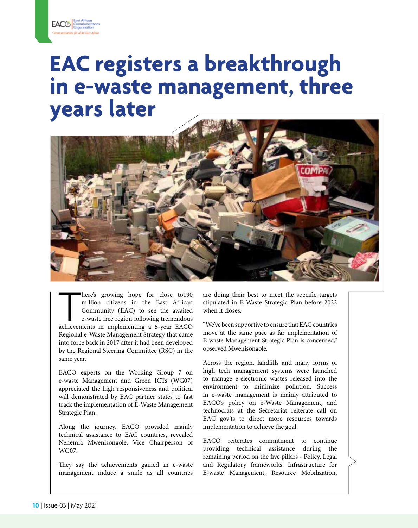## **EAC registers a breakthrough in e-waste management, three years later**



here's growing hope for close to190<br>
million citizens in the East African<br>
Community (EAC) to see the awaited<br>
e-waste free region following tremendous<br>
achievements in implementing a 5-year EACO here's growing hope for close to190 million citizens in the East African Community (EAC) to see the awaited e-waste free region following tremendous Regional e-Waste Management Strategy that came into force back in 2017 after it had been developed by the Regional Steering Committee (RSC) in the same year.

EACO experts on the Working Group 7 on e-waste Management and Green ICTs (WG07) appreciated the high responsiveness and political will demonstrated by EAC partner states to fast track the implementation of E-Waste Management Strategic Plan.

Along the journey, EACO provided mainly technical assistance to EAC countries, revealed Nehemia Mwenisongole, Vice Chairperson of WG07.

They say the achievements gained in e-waste management induce a smile as all countries are doing their best to meet the specific targets stipulated in E-Waste Strategic Plan before 2022 when it closes.

"We've been supportive to ensure that EAC countries move at the same pace as far implementation of E-waste Management Strategic Plan is concerned," observed Mwenisongole.

Across the region, landfills and many forms of high tech management systems were launched to manage e-electronic wastes released into the environment to minimize pollution. Success in e-waste management is mainly attributed to EACO's policy on e-Waste Management, and technocrats at the Secretariat reiterate call on EAC gov'ts to direct more resources towards implementation to achieve the goal.

EACO reiterates commitment to continue providing technical assistance during the remaining period on the five pillars - Policy, Legal and Regulatory frameworks, Infrastructure for E-waste Management, Resource Mobilization,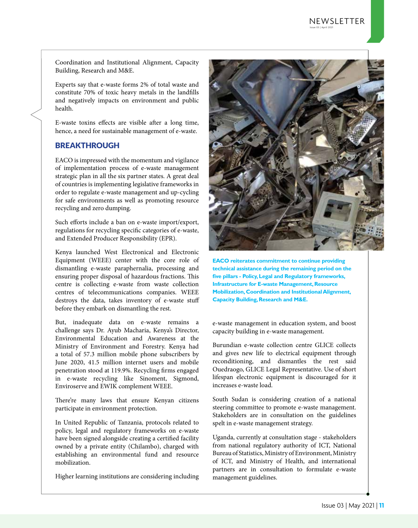Coordination and Institutional Alignment, Capacity Building, Research and M&E.

Experts say that e-waste forms 2% of total waste and constitute 70% of toxic heavy metals in the landfills and negatively impacts on environment and public health.

E-waste toxins effects are visible after a long time, hence, a need for sustainable management of e-waste.

### BREAKTHROUGH

EACO is impressed with the momentum and vigilance of implementation process of e-waste management strategic plan in all the six partner states. A great deal of countries is implementing legislative frameworks in order to regulate e-waste management and up-cycling for safe environments as well as promoting resource recycling and zero dumping.

Such efforts include a ban on e-waste import/export, regulations for recycling specific categories of e-waste, and Extended Producer Responsibility (EPR).

Kenya launched West Electronical and Electronic Equipment (WEEE) center with the core role of dismantling e-waste paraphernalia, processing and ensuring proper disposal of hazardous fractions. This centre is collecting e-waste from waste collection centres of telecommunications companies. WEEE destroys the data, takes inventory of e-waste stuff before they embark on dismantling the rest.

But, inadequate data on e-waste remains a challenge says Dr. Ayub Macharia, Kenya's Director, Environmental Education and Awareness at the Ministry of Environment and Forestry. Kenya had a total of 57.3 million mobile phone subscribers by June 2020, 41.5 million internet users and mobile penetration stood at 119.9%. Recycling firms engaged in e-waste recycling like Sinoment, Sigmond, Enviroserve and EWIK complement WEEE.

There're many laws that ensure Kenyan citizens participate in environment protection.

In United Republic of Tanzania, protocols related to policy, legal and regulatory frameworks on e-waste have been signed alongside creating a certified facility owned by a private entity (Chilambo), charged with establishing an environmental fund and resource mobilization.

Higher learning institutions are considering including



**EACO reiterates commitment to continue providing technical assistance during the remaining period on the five pillars - Policy, Legal and Regulatory frameworks, Infrastructure for E-waste Management, Resource Mobilization, Coordination and Institutional Alignment, Capacity Building, Research and M&E.**

e-waste management in education system, and boost capacity building in e-waste management.

Burundian e-waste collection centre GLICE collects and gives new life to electrical equipment through reconditioning, and dismantles the rest said Ouedraogo, GLICE Legal Representative. Use of short lifespan electronic equipment is discouraged for it increases e-waste load.

South Sudan is considering creation of a national steering committee to promote e-waste management. Stakeholders are in consultation on the guidelines spelt in e-waste management strategy.

Uganda, currently at consultation stage - stakeholders from national regulatory authority of ICT, National Bureau of Statistics, Ministry of Environment, Ministry of ICT, and Ministry of Health, and international partners are in consultation to formulate e-waste management guidelines.